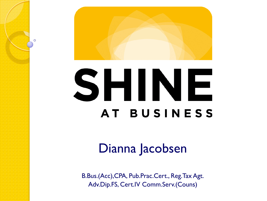

# SHINE AT BUSINESS

#### Dianna Jacobsen

B.Bus.(Acc),CPA, Pub.Prac.Cert., Reg.Tax Agt. Adv.Dip.FS, Cert.IV Comm.Serv.(Couns)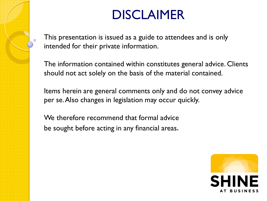### DISCLAIMER

 intended for their private information. This presentation is issued as a guide to attendees and is only

The information contained within constitutes general advice. Clients should not act solely on the basis of the material contained.

Items herein are general comments only and do not convey advice per se. Also changes in legislation may occur quickly.

We therefore recommend that formal advice be sought before acting in any financial areas.

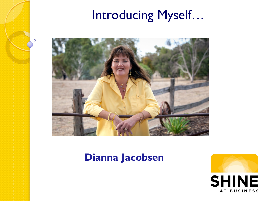# Introducing Myself...



 $\circ$ 

#### **Dianna Jacobsen**

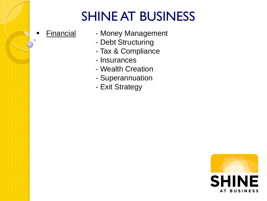# SHINE AT BUSINESS

 $\Omega$ 

- **Financial Money Management** 
	- Debt Structuring
	- Tax & Compliance
	- Insurances
	- Wealth Creation
	- Superannuation
	- Exit Strategy

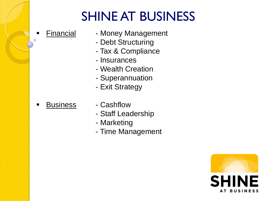# SHINE AT BUSINESS

 $\overline{O}$ 

- **Financial Money Management** 
	- Debt Structuring
	- Tax & Compliance
	- Insurances
	- Wealth Creation
	- Superannuation
	- Exit Strategy
- **Business** Cashflow
	-
	- Staff Leadership
	- Marketing
	- Time Management

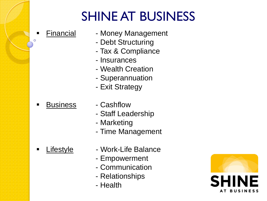# SHINE AT BUSINESS

 $\overline{O}$ 

- **Financial Money Management** 
	- Debt Structuring
	- Tax & Compliance
	- Insurances
	- Wealth Creation
	- Superannuation
	- Exit Strategy
- 
- **Business** Cashflow
	- Staff Leadership
	- Marketing
	- Time Management

- 
- Lifestyle  **Work-Life Balance** 
	- Empowerment
	- Communication
	- Relationships
	- Health

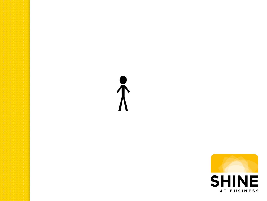

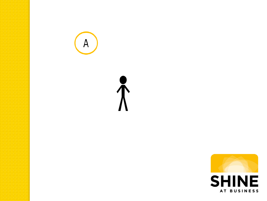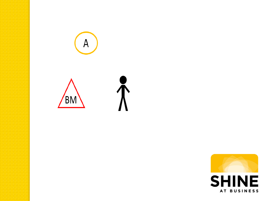

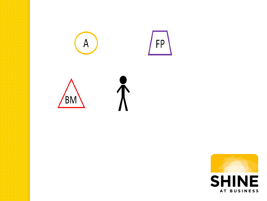

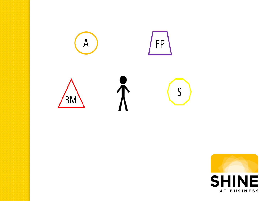

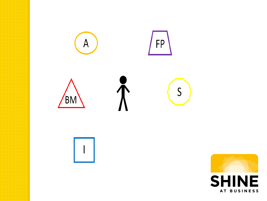



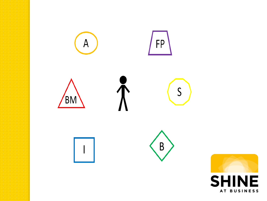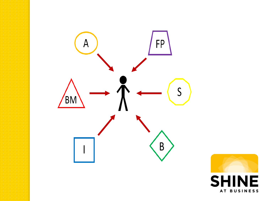

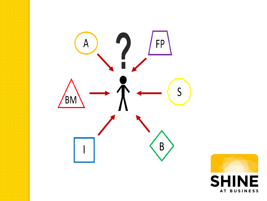

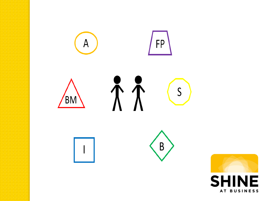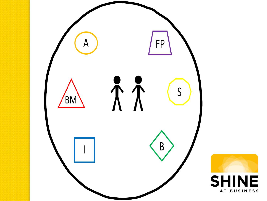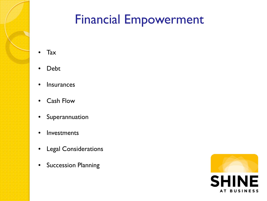#### Financial Empowerment

• Tax

- Debt
- **Insurances**
- Cash Flow
- **Superannuation**
- **Investments**
- Legal Considerations
- Succession Planning